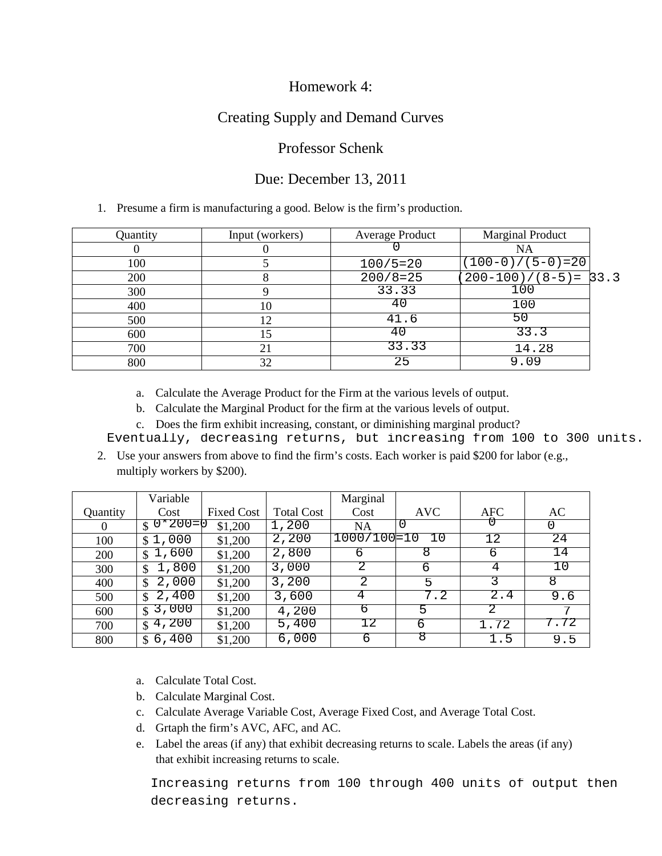### Homework 4:

# Creating Supply and Demand Curves

#### Professor Schenk

### Due: December 13, 2011

#### 1. Presume a firm is manufacturing a good. Below is the firm's production.

| Quantity                                                                                                                                                                                                                                                                                                                                                                                                                                                               |            | Input (workers)   |                   | Average Product |            | <b>Marginal Product</b> |          |      |  |  |  |
|------------------------------------------------------------------------------------------------------------------------------------------------------------------------------------------------------------------------------------------------------------------------------------------------------------------------------------------------------------------------------------------------------------------------------------------------------------------------|------------|-------------------|-------------------|-----------------|------------|-------------------------|----------|------|--|--|--|
| $\Omega$                                                                                                                                                                                                                                                                                                                                                                                                                                                               |            | $\theta$          |                   |                 |            | <b>NA</b>               |          |      |  |  |  |
| 100                                                                                                                                                                                                                                                                                                                                                                                                                                                                    |            | 5                 |                   | $100/5=20$      |            | $(100-0)/(5-0)=20$      |          |      |  |  |  |
| 200                                                                                                                                                                                                                                                                                                                                                                                                                                                                    |            | 8                 |                   | $200/8=25$      |            | $200 - 100$ )/(8-5)=    |          | 33.3 |  |  |  |
| 300                                                                                                                                                                                                                                                                                                                                                                                                                                                                    |            | 9                 |                   | 33.33           |            | 100                     |          |      |  |  |  |
| 400                                                                                                                                                                                                                                                                                                                                                                                                                                                                    |            | 10                |                   | 40              |            | 100                     |          |      |  |  |  |
| 500                                                                                                                                                                                                                                                                                                                                                                                                                                                                    |            | 12                |                   | 41.6            |            | 50                      |          |      |  |  |  |
|                                                                                                                                                                                                                                                                                                                                                                                                                                                                        | 600        |                   | 15                |                 | 40         | 33.3                    |          |      |  |  |  |
|                                                                                                                                                                                                                                                                                                                                                                                                                                                                        | 700        |                   | 21                |                 | 33.33      | 14.28                   |          |      |  |  |  |
|                                                                                                                                                                                                                                                                                                                                                                                                                                                                        | 800        |                   | 32                |                 | 25         |                         | 9.09     |      |  |  |  |
| Calculate the Average Product for the Firm at the various levels of output.<br>a.<br>Calculate the Marginal Product for the firm at the various levels of output.<br>b.<br>c. Does the firm exhibit increasing, constant, or diminishing marginal product?<br>Eventually, decreasing returns, but increasing from 100 to 300 uni<br>2. Use your answers from above to find the firm's costs. Each worker is paid \$200 for labor (e.g.,<br>multiply workers by \$200). |            |                   |                   |                 |            |                         |          |      |  |  |  |
|                                                                                                                                                                                                                                                                                                                                                                                                                                                                        | Variable   |                   |                   | Marginal        |            |                         |          |      |  |  |  |
| Quantity                                                                                                                                                                                                                                                                                                                                                                                                                                                               | Cost       | <b>Fixed Cost</b> | <b>Total Cost</b> | Cost            | <b>AVC</b> | <b>AFC</b>              | AC       |      |  |  |  |
| $\theta$                                                                                                                                                                                                                                                                                                                                                                                                                                                               | $$0*200=0$ | \$1,200           | 1,200             | NA              | O          |                         | $\Omega$ |      |  |  |  |

|          | Variable      |                   |                   | Marginal    |            |            |      |
|----------|---------------|-------------------|-------------------|-------------|------------|------------|------|
| Quantity | Cost          | <b>Fixed Cost</b> | <b>Total Cost</b> | Cost        | <b>AVC</b> | <b>AFC</b> | AC   |
| $\theta$ | 0*200=0<br>\$ | \$1,200           | 1,200             | NA          | O          |            |      |
| 100      | \$1,000       | \$1,200           | 2,200             | 1000/100=10 |            | 12         | 24   |
| 200      | 1,600<br>S.   | \$1,200           | 2,800             | h           | 8          | b          | 14   |
| 300      | 1,800<br>\$   | \$1,200           | 3,000             |             | 6          |            | ΊO   |
| 400      | 2,000<br>\$.  | \$1,200           | 3,200             | 2           | 5          |            | 8    |
| 500      | 2,400<br>\$.  | \$1,200           | 3,600             | 4           | 7.2        | 2.4        | 9.6  |
| 600      | 3,000<br>\$.  | \$1,200           | 4,200             | ь           | 5          |            | 7    |
| 700      | 4,200<br>S.   | \$1,200           | 5,400             |             | 6          | 1.72       | 7.72 |
| 800      | 6,400<br>S    | \$1,200           | 6,000             | 6           | ਲ          | 1.5        | 9.5  |

- a. Calculate Total Cost.
- b. Calculate Marginal Cost.
- c. Calculate Average Variable Cost, Average Fixed Cost, and Average Total Cost.
- d. Grtaph the firm's AVC, AFC, and AC.
- e. Label the areas (if any) that exhibit decreasing returns to scale. Labels the areas (if any) that exhibit increasing returns to scale.

Increasing returns from 100 through 400 units of output then decreasing returns.